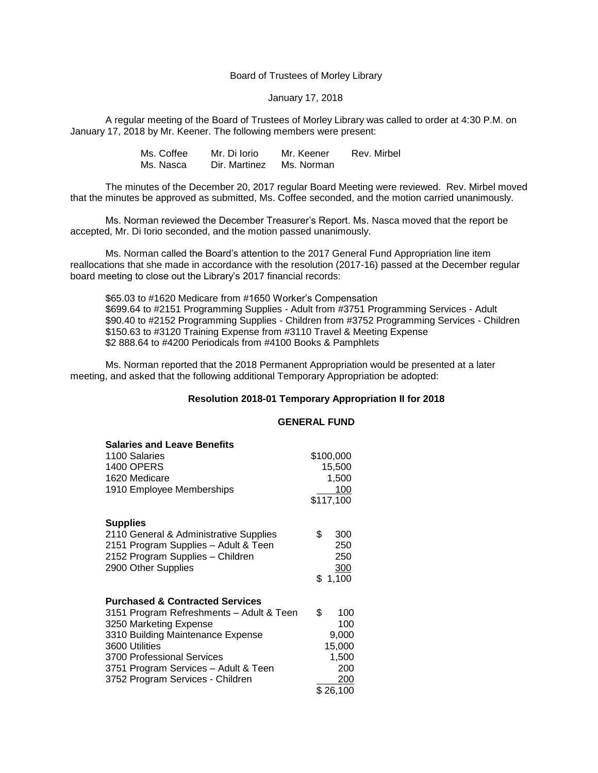Board of Trustees of Morley Library

#### January 17, 2018

A regular meeting of the Board of Trustees of Morley Library was called to order at 4:30 P.M. on January 17, 2018 by Mr. Keener. The following members were present:

| Ms. Coffee | Mr. Di Iorio  | Mr. Keener | Rev. Mirbel |
|------------|---------------|------------|-------------|
| Ms. Nasca  | Dir. Martinez | Ms. Norman |             |

The minutes of the December 20, 2017 regular Board Meeting were reviewed. Rev. Mirbel moved that the minutes be approved as submitted, Ms. Coffee seconded, and the motion carried unanimously.

Ms. Norman reviewed the December Treasurer's Report. Ms. Nasca moved that the report be accepted, Mr. Di Iorio seconded, and the motion passed unanimously.

Ms. Norman called the Board's attention to the 2017 General Fund Appropriation line item reallocations that she made in accordance with the resolution (2017-16) passed at the December regular board meeting to close out the Library's 2017 financial records:

\$65.03 to #1620 Medicare from #1650 Worker's Compensation \$699.64 to #2151 Programming Supplies - Adult from #3751 Programming Services - Adult \$90.40 to #2152 Programming Supplies - Children from #3752 Programming Services - Children \$150.63 to #3120 Training Expense from #3110 Travel & Meeting Expense \$2 888.64 to #4200 Periodicals from #4100 Books & Pamphlets

Ms. Norman reported that the 2018 Permanent Appropriation would be presented at a later meeting, and asked that the following additional Temporary Appropriation be adopted:

#### **Resolution 2018-01 Temporary Appropriation II for 2018**

# **GENERAL FUND**

| <b>Salaries and Leave Benefits</b>         |    |           |
|--------------------------------------------|----|-----------|
| 1100 Salaries                              |    | \$100,000 |
| <b>1400 OPERS</b>                          |    | 15,500    |
| 1620 Medicare                              |    | 1,500     |
| 1910 Employee Memberships                  |    | 100       |
|                                            |    | \$117,100 |
| <b>Supplies</b>                            |    |           |
| 2110 General & Administrative Supplies     | \$ | 300       |
| 2151 Program Supplies - Adult & Teen       |    | 250       |
| 2152 Program Supplies - Children           |    | 250       |
| 2900 Other Supplies                        |    | 300       |
|                                            |    | \$1,100   |
| <b>Purchased &amp; Contracted Services</b> |    |           |
| 3151 Program Refreshments - Adult & Teen   | \$ | 100       |
| 3250 Marketing Expense                     |    | 100       |
| 3310 Building Maintenance Expense          |    | 9,000     |
| 3600 Utilities                             |    | 15,000    |
| 3700 Professional Services                 |    | 1,500     |
| 3751 Program Services - Adult & Teen       |    | 200       |
| 3752 Program Services - Children           |    | 200       |
|                                            |    | \$26,100  |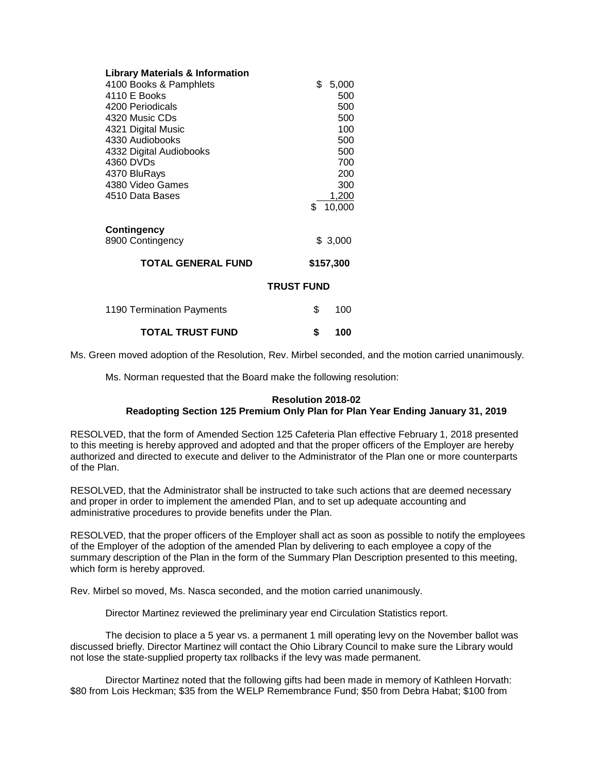| <b>Library Materials &amp; Information</b> |                   |
|--------------------------------------------|-------------------|
| 4100 Books & Pamphlets                     | \$<br>5,000       |
| 4110 E Books                               | 500               |
| 4200 Periodicals                           | 500               |
| 4320 Music CDs                             | 500               |
| 4321 Digital Music                         | 100               |
| 4330 Audiobooks                            | 500               |
| 4332 Digital Audiobooks                    | 500               |
| 4360 DVDs                                  | 700               |
| 4370 BluRays                               | 200               |
| 4380 Video Games                           | 300               |
| 4510 Data Bases                            | 1,200             |
|                                            | 10,000<br>\$.     |
| <b>Contingency</b>                         |                   |
| 8900 Contingency                           | \$3,000           |
| <b>TOTAL GENERAL FUND</b>                  | \$157,300         |
|                                            | <b>TRUST FUND</b> |
| 1190 Termination Payments                  | \$<br>100         |
| <b>TOTAL TRUST FUND</b>                    | \$<br>100         |

Ms. Green moved adoption of the Resolution, Rev. Mirbel seconded, and the motion carried unanimously.

Ms. Norman requested that the Board make the following resolution:

## **Resolution 2018-02**

## **Readopting Section 125 Premium Only Plan for Plan Year Ending January 31, 2019**

RESOLVED, that the form of Amended Section 125 Cafeteria Plan effective February 1, 2018 presented to this meeting is hereby approved and adopted and that the proper officers of the Employer are hereby authorized and directed to execute and deliver to the Administrator of the Plan one or more counterparts of the Plan.

RESOLVED, that the Administrator shall be instructed to take such actions that are deemed necessary and proper in order to implement the amended Plan, and to set up adequate accounting and administrative procedures to provide benefits under the Plan.

RESOLVED, that the proper officers of the Employer shall act as soon as possible to notify the employees of the Employer of the adoption of the amended Plan by delivering to each employee a copy of the summary description of the Plan in the form of the Summary Plan Description presented to this meeting, which form is hereby approved.

Rev. Mirbel so moved, Ms. Nasca seconded, and the motion carried unanimously.

Director Martinez reviewed the preliminary year end Circulation Statistics report.

The decision to place a 5 year vs. a permanent 1 mill operating levy on the November ballot was discussed briefly. Director Martinez will contact the Ohio Library Council to make sure the Library would not lose the state-supplied property tax rollbacks if the levy was made permanent.

Director Martinez noted that the following gifts had been made in memory of Kathleen Horvath: \$80 from Lois Heckman; \$35 from the WELP Remembrance Fund; \$50 from Debra Habat; \$100 from